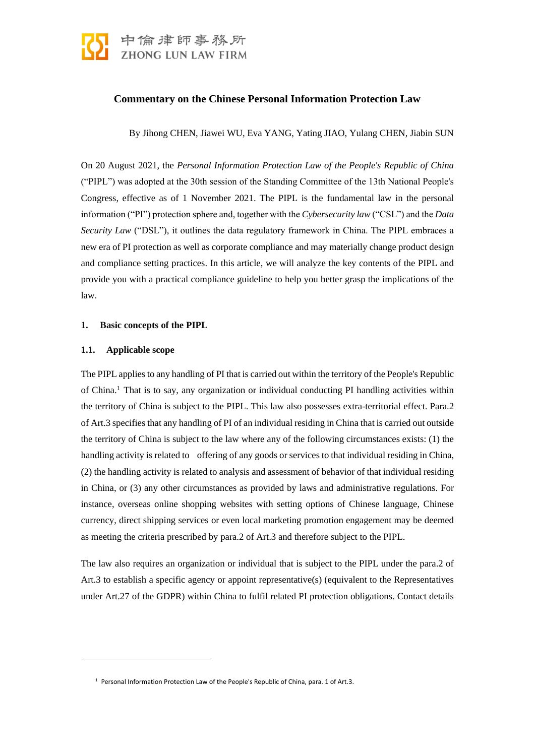

# **Commentary on the Chinese Personal Information Protection Law**

By Jihong CHEN, Jiawei WU, Eva YANG, Yating JIAO, Yulang CHEN, Jiabin SUN

On 20 August 2021, the *Personal Information Protection Law of the People's Republic of China* ("PIPL") was adopted at the 30th session of the Standing Committee of the 13th National People's Congress, effective as of 1 November 2021. The PIPL is the fundamental law in the personal information ("PI") protection sphere and, together with the *Cybersecurity law* ("CSL") and the *Data Security Law* ("DSL"), it outlines the data regulatory framework in China. The PIPL embraces a new era of PI protection as well as corporate compliance and may materially change product design and compliance setting practices. In this article, we will analyze the key contents of the PIPL and provide you with a practical compliance guideline to help you better grasp the implications of the law.

#### **1. Basic concepts of the PIPL**

#### **1.1. Applicable scope**

The PIPL applies to any handling of PI that is carried out within the territory of the People's Republic of China.<sup>1</sup> That is to say, any organization or individual conducting PI handling activities within the territory of China is subject to the PIPL. This law also possesses extra-territorial effect. Para.2 of Art.3 specifies that any handling of PI of an individual residing in China that is carried out outside the territory of China is subject to the law where any of the following circumstances exists: (1) the handling activity is related to offering of any goods or services to that individual residing in China, (2) the handling activity is related to analysis and assessment of behavior of that individual residing in China, or (3) any other circumstances as provided by laws and administrative regulations. For instance, overseas online shopping websites with setting options of Chinese language, Chinese currency, direct shipping services or even local marketing promotion engagement may be deemed as meeting the criteria prescribed by para.2 of Art.3 and therefore subject to the PIPL.

The law also requires an organization or individual that is subject to the PIPL under the para.2 of Art.3 to establish a specific agency or appoint representative(s) (equivalent to the Representatives under Art.27 of the GDPR) within China to fulfil related PI protection obligations. Contact details

<sup>&</sup>lt;sup>1</sup> Personal Information Protection Law of the People's Republic of China, para. 1 of Art.3.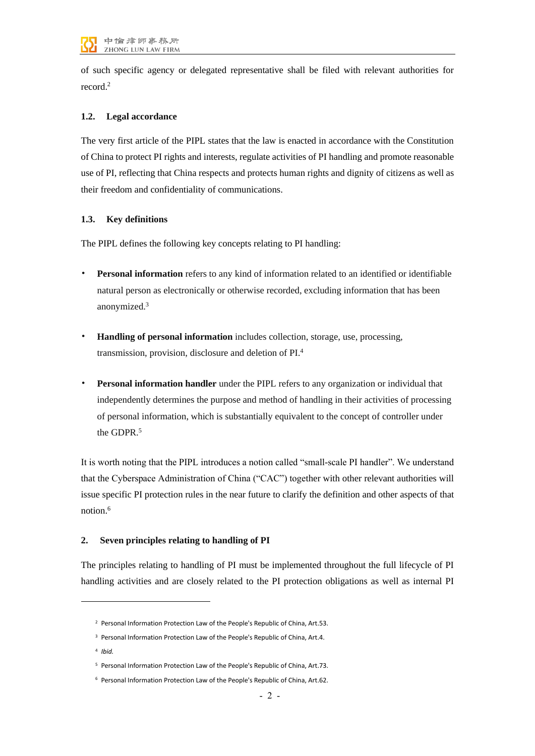of such specific agency or delegated representative shall be filed with relevant authorities for record<sup>2</sup>

# **1.2. Legal accordance**

The very first article of the PIPL states that the law is enacted in accordance with the Constitution of China to protect PI rights and interests, regulate activities of PI handling and promote reasonable use of PI, reflecting that China respects and protects human rights and dignity of citizens as well as their freedom and confidentiality of communications.

# **1.3. Key definitions**

The PIPL defines the following key concepts relating to PI handling:

- **Personal information** refers to any kind of information related to an identified or identifiable natural person as electronically or otherwise recorded, excluding information that has been anonymized.<sup>3</sup>
- **Handling of personal information** includes collection, storage, use, processing, transmission, provision, disclosure and deletion of PI.<sup>4</sup>
- **Personal information handler** under the PIPL refers to any organization or individual that independently determines the purpose and method of handling in their activities of processing of personal information, which is substantially equivalent to the concept of controller under the GDPR.<sup>5</sup>

It is worth noting that the PIPL introduces a notion called "small-scale PI handler". We understand that the Cyberspace Administration of China ("CAC") together with other relevant authorities will issue specific PI protection rules in the near future to clarify the definition and other aspects of that notion.<sup>6</sup>

## **2. Seven principles relating to handling of PI**

The principles relating to handling of PI must be implemented throughout the full lifecycle of PI handling activities and are closely related to the PI protection obligations as well as internal PI

<sup>2</sup> Personal Information Protection Law of the People's Republic of China, Art.53.

<sup>&</sup>lt;sup>3</sup> Personal Information Protection Law of the People's Republic of China, Art.4.

<sup>4</sup> *Ibid.*

<sup>5</sup> Personal Information Protection Law of the People's Republic of China, Art.73.

<sup>6</sup> Personal Information Protection Law of the People's Republic of China, Art.62.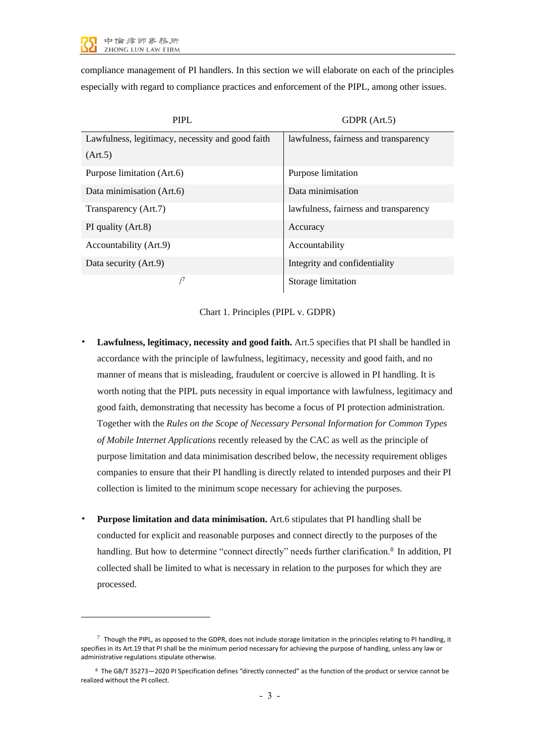

compliance management of PI handlers. In this section we will elaborate on each of the principles especially with regard to compliance practices and enforcement of the PIPL, among other issues.

| PIPL.                                            | GDPR $(Art.5)$                        |
|--------------------------------------------------|---------------------------------------|
| Lawfulness, legitimacy, necessity and good faith | lawfulness, fairness and transparency |
| (Art.5)                                          |                                       |
| Purpose limitation (Art.6)                       | Purpose limitation                    |
| Data minimisation (Art.6)                        | Data minimisation                     |
| Transparency (Art.7)                             | lawfulness, fairness and transparency |
| PI quality (Art.8)                               | Accuracy                              |
| Accountability (Art.9)                           | Accountability                        |
| Data security (Art.9)                            | Integrity and confidentiality         |
| Π                                                | Storage limitation                    |

Chart 1. Principles (PIPL v. GDPR)

- **Lawfulness, legitimacy, necessity and good faith.** Art.5 specifies that PI shall be handled in accordance with the principle of lawfulness, legitimacy, necessity and good faith, and no manner of means that is misleading, fraudulent or coercive is allowed in PI handling. It is worth noting that the PIPL puts necessity in equal importance with lawfulness, legitimacy and good faith, demonstrating that necessity has become a focus of PI protection administration. Together with the *Rules on the Scope of Necessary Personal Information for Common Types of Mobile Internet Applications* recently released by the CAC as well as the principle of purpose limitation and data minimisation described below, the necessity requirement obliges companies to ensure that their PI handling is directly related to intended purposes and their PI collection is limited to the minimum scope necessary for achieving the purposes.
- **Purpose limitation and data minimisation.** Art.6 stipulates that PI handling shall be conducted for explicit and reasonable purposes and connect directly to the purposes of the handling. But how to determine "connect directly" needs further clarification.<sup>8</sup> In addition, PI collected shall be limited to what is necessary in relation to the purposes for which they are processed.

 $^7$  Though the PIPL, as opposed to the GDPR, does not include storage limitation in the principles relating to PI handling, it specifies in its Art.19 that PI shall be the minimum period necessary for achieving the purpose of handling, unless any law or administrative regulations stipulate otherwise.

<sup>8</sup> The GB/T 35273-2020 PI Specification defines "directly connected" as the function of the product or service cannot be realized without the PI collect.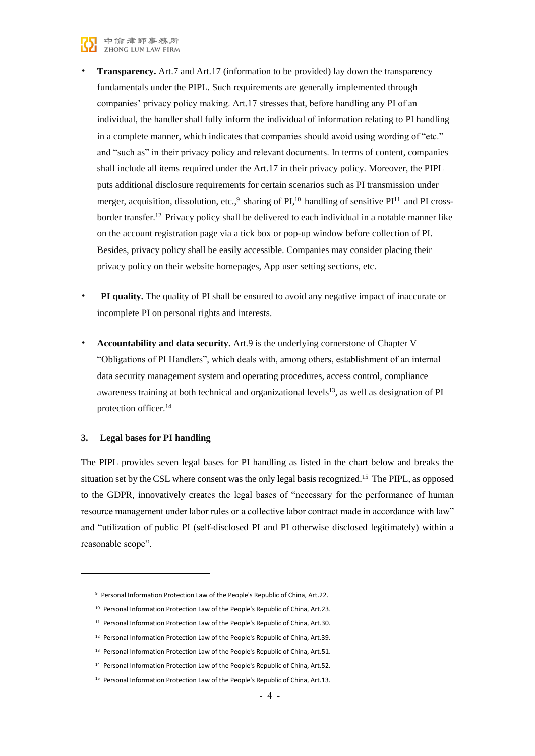- **Transparency.** Art.7 and Art.17 (information to be provided) lay down the transparency fundamentals under the PIPL. Such requirements are generally implemented through companies' privacy policy making. Art.17 stresses that, before handling any PI of an individual, the handler shall fully inform the individual of information relating to PI handling in a complete manner, which indicates that companies should avoid using wording of "etc." and "such as" in their privacy policy and relevant documents. In terms of content, companies shall include all items required under the Art.17 in their privacy policy. Moreover, the PIPL puts additional disclosure requirements for certain scenarios such as PI transmission under merger, acquisition, dissolution, etc.,  $9$  sharing of PI,  $^{10}$  handling of sensitive PI<sup>11</sup> and PI crossborder transfer.<sup>12</sup> Privacy policy shall be delivered to each individual in a notable manner like on the account registration page via a tick box or pop-up window before collection of PI. Besides, privacy policy shall be easily accessible. Companies may consider placing their privacy policy on their website homepages, App user setting sections, etc.
- **PI quality.** The quality of PI shall be ensured to avoid any negative impact of inaccurate or incomplete PI on personal rights and interests.
- **Accountability and data security.** Art.9 is the underlying cornerstone of Chapter V "Obligations of PI Handlers", which deals with, among others, establishment of an internal data security management system and operating procedures, access control, compliance awareness training at both technical and organizational levels $13$ , as well as designation of PI protection officer.<sup>14</sup>

#### **3. Legal bases for PI handling**

The PIPL provides seven legal bases for PI handling as listed in the chart below and breaks the situation set by the CSL where consent was the only legal basis recognized.<sup>15</sup> The PIPL, as opposed to the GDPR, innovatively creates the legal bases of "necessary for the performance of human resource management under labor rules or a collective labor contract made in accordance with law" and "utilization of public PI (self-disclosed PI and PI otherwise disclosed legitimately) within a reasonable scope".

<sup>9</sup> Personal Information Protection Law of the People's Republic of China, Art.22.

<sup>&</sup>lt;sup>10</sup> Personal Information Protection Law of the People's Republic of China, Art.23.

<sup>11</sup> Personal Information Protection Law of the People's Republic of China, Art.30.

<sup>&</sup>lt;sup>12</sup> Personal Information Protection Law of the People's Republic of China, Art.39.

<sup>13</sup> Personal Information Protection Law of the People's Republic of China, Art.51.

<sup>14</sup> Personal Information Protection Law of the People's Republic of China, Art.52.

<sup>15</sup> Personal Information Protection Law of the People's Republic of China, Art.13.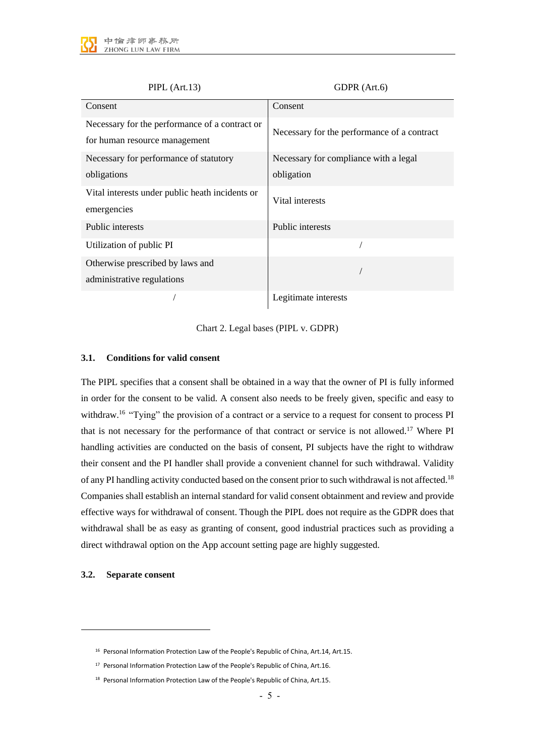| PIPL (Art.13)                                                                   | GDPR (Art.6)                                |  |
|---------------------------------------------------------------------------------|---------------------------------------------|--|
| Consent                                                                         | Consent                                     |  |
| Necessary for the performance of a contract or<br>for human resource management | Necessary for the performance of a contract |  |
| Necessary for performance of statutory                                          | Necessary for compliance with a legal       |  |
| obligations                                                                     | obligation                                  |  |
| Vital interests under public heath incidents or<br>emergencies                  | Vital interests                             |  |
| Public interests                                                                | Public interests                            |  |
| Utilization of public PI                                                        |                                             |  |
| Otherwise prescribed by laws and                                                |                                             |  |
| administrative regulations                                                      |                                             |  |
|                                                                                 | Legitimate interests                        |  |

Chart 2. Legal bases (PIPL v. GDPR)

## **3.1. Conditions for valid consent**

The PIPL specifies that a consent shall be obtained in a way that the owner of PI is fully informed in order for the consent to be valid. A consent also needs to be freely given, specific and easy to withdraw.<sup>16</sup> "Tying" the provision of a contract or a service to a request for consent to process PI that is not necessary for the performance of that contract or service is not allowed.<sup>17</sup> Where PI handling activities are conducted on the basis of consent, PI subjects have the right to withdraw their consent and the PI handler shall provide a convenient channel for such withdrawal. Validity of any PI handling activity conducted based on the consent prior to such withdrawal is not affected.<sup>18</sup> Companies shall establish an internal standard for valid consent obtainment and review and provide effective ways for withdrawal of consent. Though the PIPL does not require as the GDPR does that withdrawal shall be as easy as granting of consent, good industrial practices such as providing a direct withdrawal option on the App account setting page are highly suggested.

## **3.2. Separate consent**

<sup>&</sup>lt;sup>16</sup> Personal Information Protection Law of the People's Republic of China, Art.14, Art.15.

<sup>&</sup>lt;sup>17</sup> Personal Information Protection Law of the People's Republic of China, Art.16.

<sup>&</sup>lt;sup>18</sup> Personal Information Protection Law of the People's Republic of China, Art.15.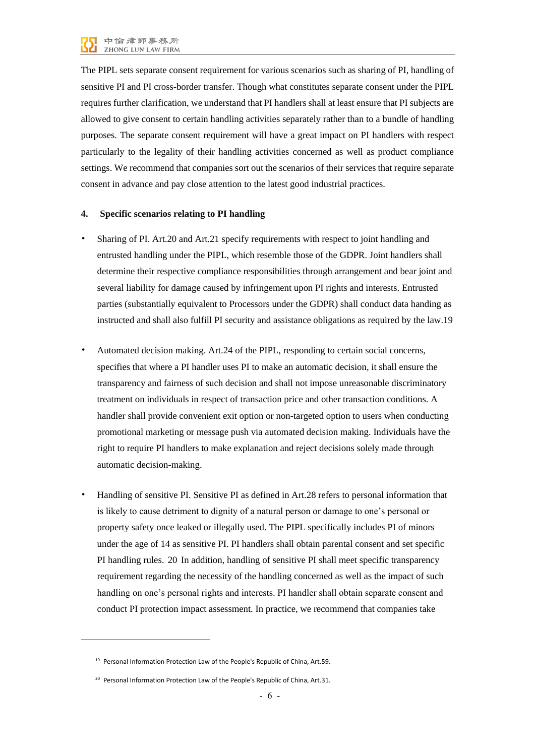The PIPL sets separate consent requirement for various scenarios such as sharing of PI, handling of sensitive PI and PI cross-border transfer. Though what constitutes separate consent under the PIPL requires further clarification, we understand that PI handlers shall at least ensure that PI subjects are allowed to give consent to certain handling activities separately rather than to a bundle of handling purposes. The separate consent requirement will have a great impact on PI handlers with respect particularly to the legality of their handling activities concerned as well as product compliance settings. We recommend that companies sort out the scenarios of their services that require separate consent in advance and pay close attention to the latest good industrial practices.

#### **4. Specific scenarios relating to PI handling**

- Sharing of PI. Art.20 and Art.21 specify requirements with respect to joint handling and entrusted handling under the PIPL, which resemble those of the GDPR. Joint handlers shall determine their respective compliance responsibilities through arrangement and bear joint and several liability for damage caused by infringement upon PI rights and interests. Entrusted parties (substantially equivalent to Processors under the GDPR) shall conduct data handing as instructed and shall also fulfill PI security and assistance obligations as required by the law.19
- Automated decision making. Art.24 of the PIPL, responding to certain social concerns, specifies that where a PI handler uses PI to make an automatic decision, it shall ensure the transparency and fairness of such decision and shall not impose unreasonable discriminatory treatment on individuals in respect of transaction price and other transaction conditions. A handler shall provide convenient exit option or non-targeted option to users when conducting promotional marketing or message push via automated decision making. Individuals have the right to require PI handlers to make explanation and reject decisions solely made through automatic decision-making.
- Handling of sensitive PI. Sensitive PI as defined in Art.28 refers to personal information that is likely to cause detriment to dignity of a natural person or damage to one's personal or property safety once leaked or illegally used. The PIPL specifically includes PI of minors under the age of 14 as sensitive PI. PI handlers shall obtain parental consent and set specific PI handling rules. 20 In addition, handling of sensitive PI shall meet specific transparency requirement regarding the necessity of the handling concerned as well as the impact of such handling on one's personal rights and interests. PI handler shall obtain separate consent and conduct PI protection impact assessment. In practice, we recommend that companies take

<sup>&</sup>lt;sup>19</sup> Personal Information Protection Law of the People's Republic of China, Art.59.

<sup>&</sup>lt;sup>20</sup> Personal Information Protection Law of the People's Republic of China, Art.31.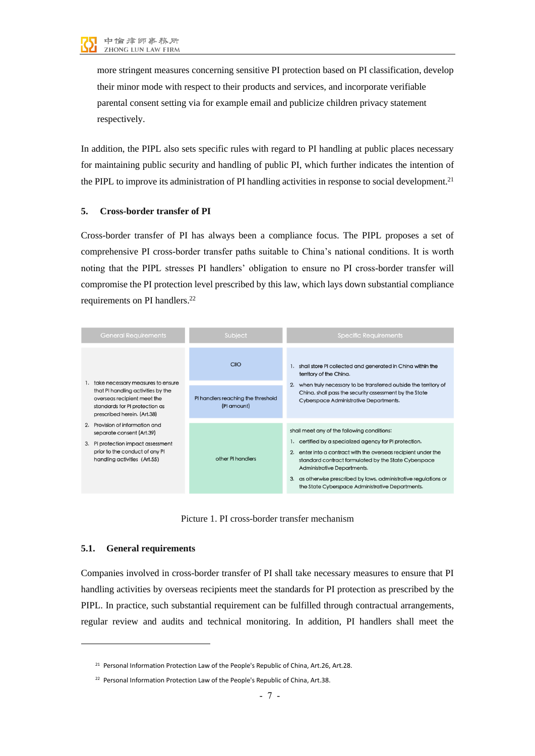

more stringent measures concerning sensitive PI protection based on PI classification, develop their minor mode with respect to their products and services, and incorporate verifiable parental consent setting via for example email and publicize children privacy statement respectively.

In addition, the PIPL also sets specific rules with regard to PI handling at public places necessary for maintaining public security and handling of public PI, which further indicates the intention of the PIPL to improve its administration of PI handling activities in response to social development.<sup>21</sup>

## **5. Cross-border transfer of PI**

Cross-border transfer of PI has always been a compliance focus. The PIPL proposes a set of comprehensive PI cross-border transfer paths suitable to China's national conditions. It is worth noting that the PIPL stresses PI handlers' obligation to ensure no PI cross-border transfer will compromise the PI protection level prescribed by this law, which lays down substantial compliance requirements on PI handlers.<sup>22</sup>

| <b>General Requirements</b>                                                                                                                                             | Subject                                           | <b>Specific Requirements</b>                                                                                                                             |
|-------------------------------------------------------------------------------------------------------------------------------------------------------------------------|---------------------------------------------------|----------------------------------------------------------------------------------------------------------------------------------------------------------|
| take necessary measures to ensure<br>that PI handling activities by the<br>overseas recipient meet the<br>standards for PI protection as<br>prescribed herein. (Art.38) | CIIO                                              | 1. shall store PI collected and generated in China within the<br>territory of the China.                                                                 |
|                                                                                                                                                                         |                                                   | when truly necessary to be transferred outside the territory of<br>2.<br>China, shall pass the security assessment by the State                          |
|                                                                                                                                                                         | PI handlers reaching the threshold<br>(PI amount) | <b>Cyberspace Administrative Departments.</b>                                                                                                            |
| 2. Provision of information and                                                                                                                                         |                                                   |                                                                                                                                                          |
| separate consent (Art.39)                                                                                                                                               | other PI handlers                                 | shall meet any of the following conditions:                                                                                                              |
| 3. PI protection impact assessment<br>prior to the conduct of any PI<br>handling activities (Art.55)                                                                    |                                                   | certified by a specialized agency for PI protection.                                                                                                     |
|                                                                                                                                                                         |                                                   | enter into a contract with the overseas recipient under the<br>2.<br>standard contract formulated by the State Cyberspace<br>Administrative Departments. |
|                                                                                                                                                                         |                                                   | as otherwise prescribed by laws, administrative regulations or<br>3.<br>the State Cyberspace Administrative Departments.                                 |

Picture 1. PI cross-border transfer mechanism

#### **5.1. General requirements**

Companies involved in cross-border transfer of PI shall take necessary measures to ensure that PI handling activities by overseas recipients meet the standards for PI protection as prescribed by the PIPL. In practice, such substantial requirement can be fulfilled through contractual arrangements, regular review and audits and technical monitoring. In addition, PI handlers shall meet the

<sup>&</sup>lt;sup>21</sup> Personal Information Protection Law of the People's Republic of China, Art.26, Art.28.

<sup>&</sup>lt;sup>22</sup> Personal Information Protection Law of the People's Republic of China, Art.38.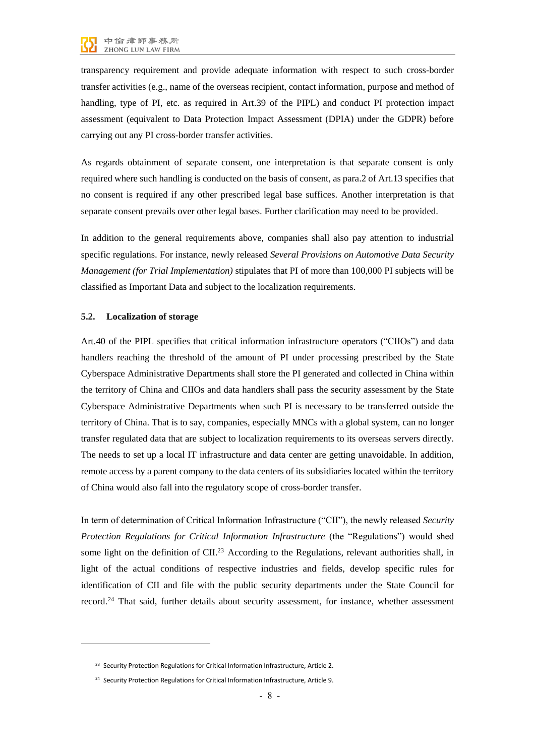transparency requirement and provide adequate information with respect to such cross-border transfer activities (e.g., name of the overseas recipient, contact information, purpose and method of handling, type of PI, etc. as required in Art.39 of the PIPL) and conduct PI protection impact assessment (equivalent to Data Protection Impact Assessment (DPIA) under the GDPR) before carrying out any PI cross-border transfer activities.

As regards obtainment of separate consent, one interpretation is that separate consent is only required where such handling is conducted on the basis of consent, as para.2 of Art.13 specifies that no consent is required if any other prescribed legal base suffices. Another interpretation is that separate consent prevails over other legal bases. Further clarification may need to be provided.

In addition to the general requirements above, companies shall also pay attention to industrial specific regulations. For instance, newly released *Several Provisions on Automotive Data Security Management (for Trial Implementation)* stipulates that PI of more than 100,000 PI subjects will be classified as Important Data and subject to the localization requirements.

## **5.2. Localization of storage**

Art.40 of the PIPL specifies that critical information infrastructure operators ("CIIOs") and data handlers reaching the threshold of the amount of PI under processing prescribed by the State Cyberspace Administrative Departments shall store the PI generated and collected in China within the territory of China and CIIOs and data handlers shall pass the security assessment by the State Cyberspace Administrative Departments when such PI is necessary to be transferred outside the territory of China. That is to say, companies, especially MNCs with a global system, can no longer transfer regulated data that are subject to localization requirements to its overseas servers directly. The needs to set up a local IT infrastructure and data center are getting unavoidable. In addition, remote access by a parent company to the data centers of its subsidiaries located within the territory of China would also fall into the regulatory scope of cross-border transfer.

In term of determination of Critical Information Infrastructure ("CII"), the newly released *Security Protection Regulations for Critical Information Infrastructure* (the "Regulations") would shed some light on the definition of CII.<sup>23</sup> According to the Regulations, relevant authorities shall, in light of the actual conditions of respective industries and fields, develop specific rules for identification of CII and file with the public security departments under the State Council for record.<sup>24</sup> That said, further details about security assessment, for instance, whether assessment

<sup>&</sup>lt;sup>23</sup> Security Protection Regulations for Critical Information Infrastructure, Article 2.

<sup>&</sup>lt;sup>24</sup> Security Protection Regulations for Critical Information Infrastructure, Article 9.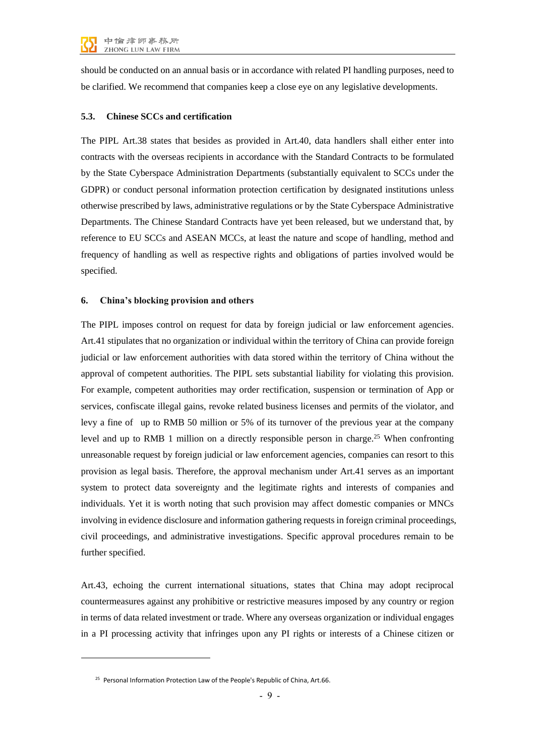should be conducted on an annual basis or in accordance with related PI handling purposes, need to be clarified. We recommend that companies keep a close eye on any legislative developments.

## **5.3. Chinese SCCs and certification**

The PIPL Art.38 states that besides as provided in Art.40, data handlers shall either enter into contracts with the overseas recipients in accordance with the Standard Contracts to be formulated by the State Cyberspace Administration Departments (substantially equivalent to SCCs under the GDPR) or conduct personal information protection certification by designated institutions unless otherwise prescribed by laws, administrative regulations or by the State Cyberspace Administrative Departments. The Chinese Standard Contracts have yet been released, but we understand that, by reference to EU SCCs and ASEAN MCCs, at least the nature and scope of handling, method and frequency of handling as well as respective rights and obligations of parties involved would be specified.

## **6. China's blocking provision and others**

The PIPL imposes control on request for data by foreign judicial or law enforcement agencies. Art.41 stipulates that no organization or individual within the territory of China can provide foreign judicial or law enforcement authorities with data stored within the territory of China without the approval of competent authorities. The PIPL sets substantial liability for violating this provision. For example, competent authorities may order rectification, suspension or termination of App or services, confiscate illegal gains, revoke related business licenses and permits of the violator, and levy a fine of up to RMB 50 million or 5% of its turnover of the previous year at the company level and up to RMB 1 million on a directly responsible person in charge.<sup>25</sup> When confronting unreasonable request by foreign judicial or law enforcement agencies, companies can resort to this provision as legal basis. Therefore, the approval mechanism under Art.41 serves as an important system to protect data sovereignty and the legitimate rights and interests of companies and individuals. Yet it is worth noting that such provision may affect domestic companies or MNCs involving in evidence disclosure and information gathering requests in foreign criminal proceedings, civil proceedings, and administrative investigations. Specific approval procedures remain to be further specified.

Art.43, echoing the current international situations, states that China may adopt reciprocal countermeasures against any prohibitive or restrictive measures imposed by any country or region in terms of data related investment or trade. Where any overseas organization or individual engages in a PI processing activity that infringes upon any PI rights or interests of a Chinese citizen or

<sup>&</sup>lt;sup>25</sup> Personal Information Protection Law of the People's Republic of China, Art.66.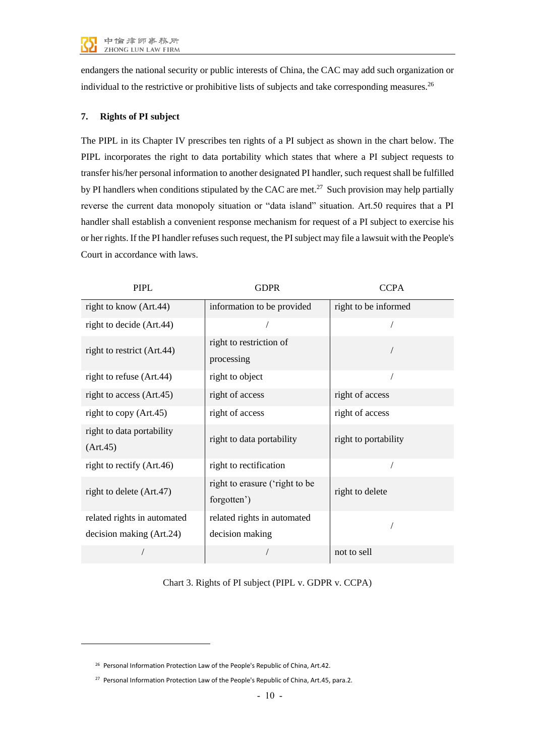endangers the national security or public interests of China, the CAC may add such organization or individual to the restrictive or prohibitive lists of subjects and take corresponding measures.<sup>26</sup>

# **7. Rights of PI subject**

The PIPL in its Chapter IV prescribes ten rights of a PI subject as shown in the chart below. The PIPL incorporates the right to data portability which states that where a PI subject requests to transfer his/her personal information to another designated PI handler, such request shall be fulfilled by PI handlers when conditions stipulated by the CAC are met.<sup>27</sup> Such provision may help partially reverse the current data monopoly situation or "data island" situation. Art.50 requires that a PI handler shall establish a convenient response mechanism for request of a PI subject to exercise his or her rights. If the PI handler refuses such request, the PI subject may file a lawsuit with the People's Court in accordance with laws.

| <b>PIPL</b>                           | <b>GDPR</b>                                   | <b>CCPA</b>          |
|---------------------------------------|-----------------------------------------------|----------------------|
| right to know (Art.44)                | information to be provided                    | right to be informed |
| right to decide (Art.44)              |                                               |                      |
| right to restrict (Art.44)            | right to restriction of<br>processing         |                      |
| right to refuse (Art.44)              | right to object                               |                      |
| right to access (Art.45)              | right of access                               | right of access      |
| right to copy (Art.45)                | right of access                               | right of access      |
| right to data portability<br>(Art.45) | right to data portability                     | right to portability |
| right to rectify (Art.46)             | right to rectification                        |                      |
| right to delete (Art.47)              | right to erasure ('right to be<br>forgotten') | right to delete      |
| related rights in automated           | related rights in automated                   |                      |
| decision making (Art.24)              | decision making                               |                      |
|                                       |                                               | not to sell          |

Chart 3. Rights of PI subject (PIPL v. GDPR v. CCPA)

<sup>&</sup>lt;sup>26</sup> Personal Information Protection Law of the People's Republic of China, Art.42.

<sup>&</sup>lt;sup>27</sup> Personal Information Protection Law of the People's Republic of China, Art.45, para.2.